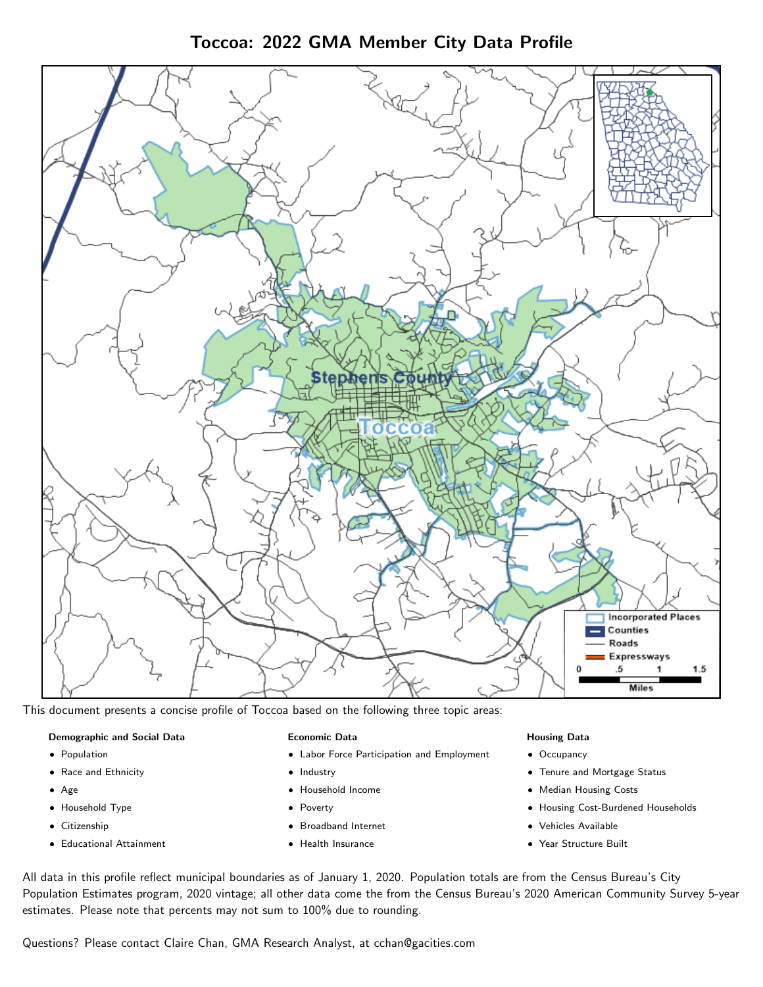Toccoa: 2022 GMA Member City Data Profile



This document presents a concise profile of Toccoa based on the following three topic areas:

#### Demographic and Social Data

- **•** Population
- Race and Ethnicity
- Age
- Household Type
- **Citizenship**
- Educational Attainment

#### Economic Data

- Labor Force Participation and Employment
- Industry
- Household Income
- Poverty
- Broadband Internet
- Health Insurance

#### Housing Data

- Occupancy
- Tenure and Mortgage Status
- Median Housing Costs
- Housing Cost-Burdened Households
- Vehicles Available
- Year Structure Built

All data in this profile reflect municipal boundaries as of January 1, 2020. Population totals are from the Census Bureau's City Population Estimates program, 2020 vintage; all other data come the from the Census Bureau's 2020 American Community Survey 5-year estimates. Please note that percents may not sum to 100% due to rounding.

Questions? Please contact Claire Chan, GMA Research Analyst, at [cchan@gacities.com.](mailto:cchan@gacities.com)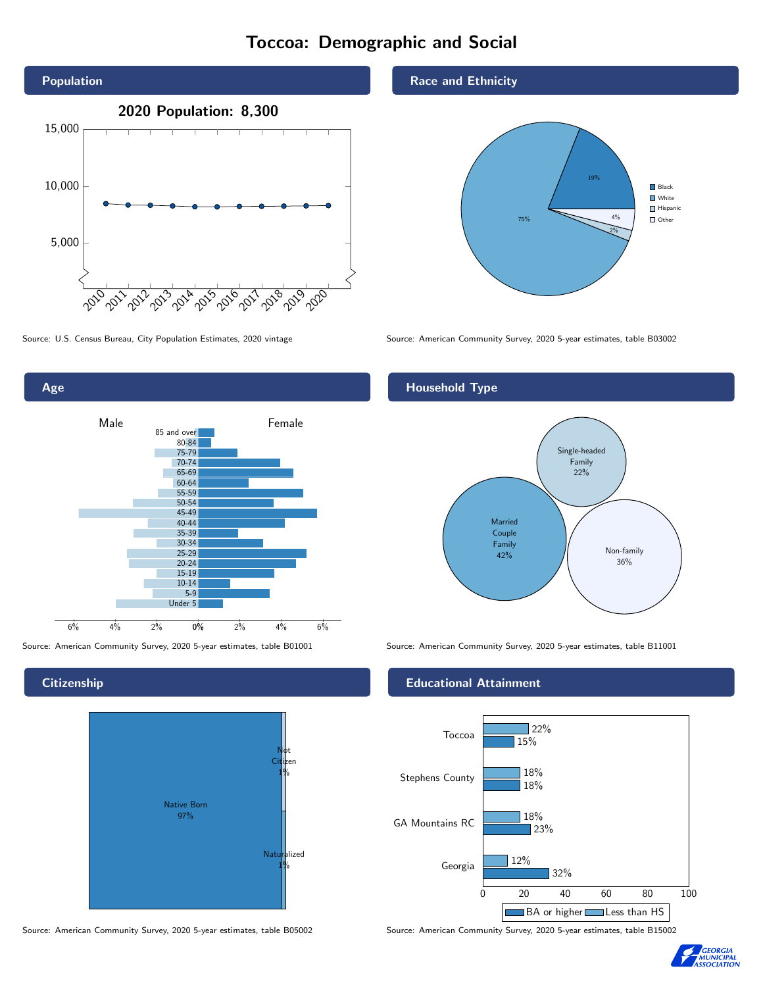# Toccoa: Demographic and Social





# **Citizenship**



Source: American Community Survey, 2020 5-year estimates, table B05002 Source: American Community Survey, 2020 5-year estimates, table B15002

#### Race and Ethnicity



Source: U.S. Census Bureau, City Population Estimates, 2020 vintage Source: American Community Survey, 2020 5-year estimates, table B03002

## Household Type



Source: American Community Survey, 2020 5-year estimates, table B01001 Source: American Community Survey, 2020 5-year estimates, table B11001

#### Educational Attainment



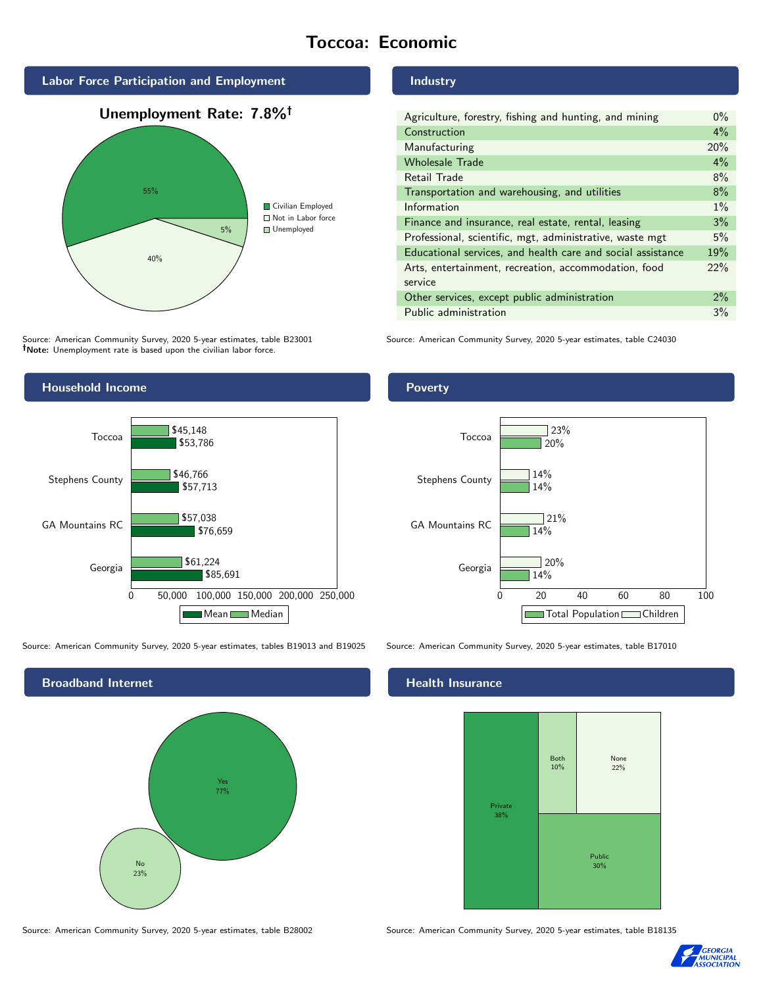# Toccoa: Economic







Source: American Community Survey, 2020 5-year estimates, table B23001 Note: Unemployment rate is based upon the civilian labor force.

### Industry

| Agriculture, forestry, fishing and hunting, and mining      | $0\%$ |
|-------------------------------------------------------------|-------|
| Construction                                                | $4\%$ |
| Manufacturing                                               | 20%   |
| <b>Wholesale Trade</b>                                      | 4%    |
| Retail Trade                                                | 8%    |
| Transportation and warehousing, and utilities               | 8%    |
| Information                                                 | $1\%$ |
| Finance and insurance, real estate, rental, leasing         | 3%    |
| Professional, scientific, mgt, administrative, waste mgt    | 5%    |
| Educational services, and health care and social assistance | 19%   |
| Arts, entertainment, recreation, accommodation, food        | 22%   |
| service                                                     |       |
| Other services, except public administration                | $2\%$ |
| Public administration                                       | 3%    |

Source: American Community Survey, 2020 5-year estimates, table C24030



Source: American Community Survey, 2020 5-year estimates, tables B19013 and B19025 Source: American Community Survey, 2020 5-year estimates, table B17010



Source: American Community Survey, 2020 5-year estimates, table B28002 Source: American Community Survey, 2020 5-year estimates, table B18135

Poverty



## **Health Insurance**